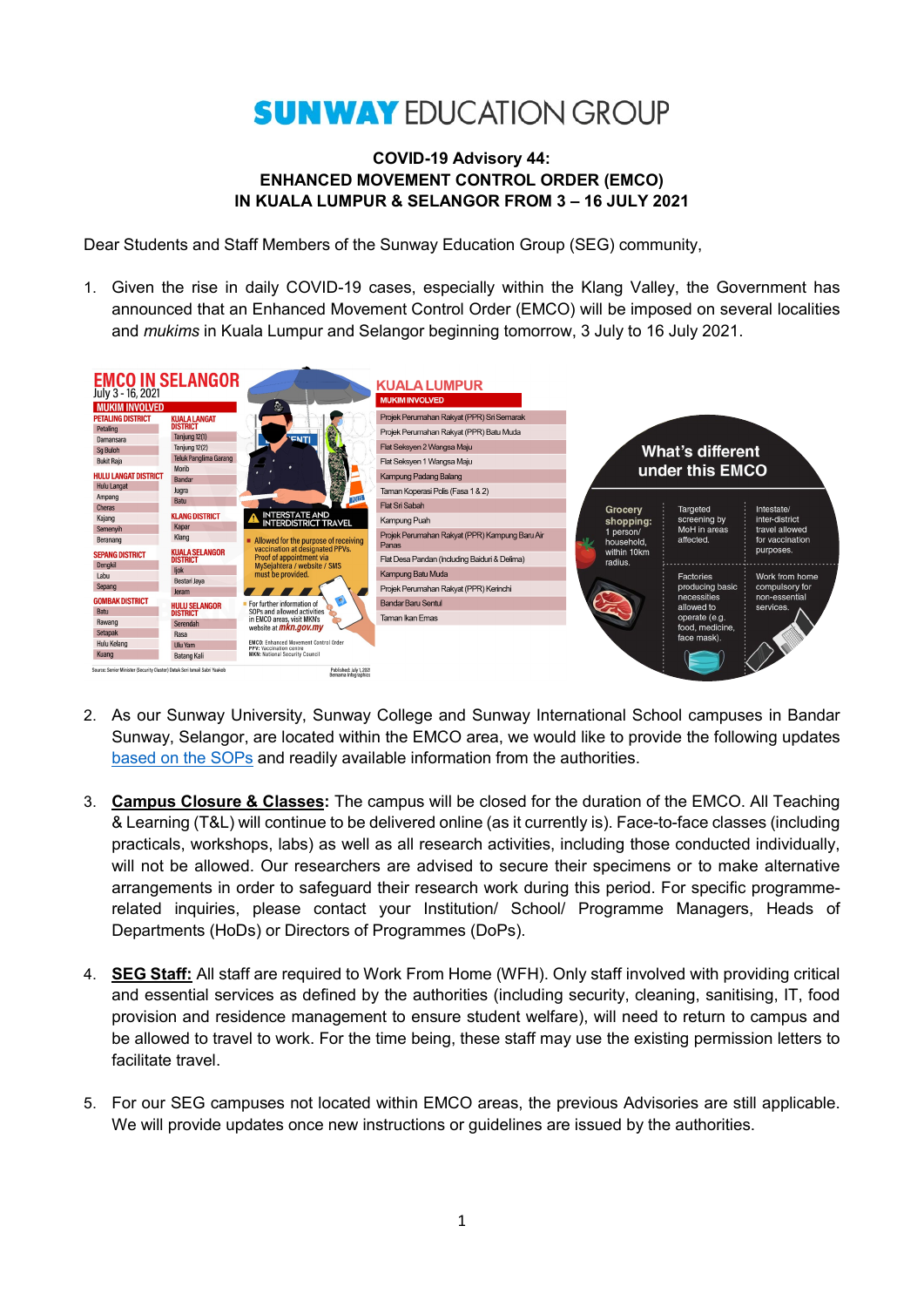## **SUNWAY EDUCATION GROUP**

## **COVID-19 Advisory 44: ENHANCED MOVEMENT CONTROL ORDER (EMCO) IN KUALA LUMPUR & SELANGOR FROM 3 – 16 JULY 2021**

Dear Students and Staff Members of the Sunway Education Group (SEG) community,

1. Given the rise in daily COVID-19 cases, especially within the Klang Valley, the Government has announced that an Enhanced Movement Control Order (EMCO) will be imposed on several localities and *mukims* in Kuala Lumpur and Selangor beginning tomorrow, 3 July to 16 July 2021.



- 2. As our Sunway University, Sunway College and Sunway International School campuses in Bandar Sunway, Selangor, are located within the EMCO area, we would like to provide the following updates [based on the SOPs](https://asset.mkn.gov.my/web/wp-content/uploads/sites/3/2019/08/SOP-PKPD-Di-Negeri-Selangor-Kemaskini-2-Julai-2021.pdf) and readily available information from the authorities.
- 3. **Campus Closure & Classes:** The campus will be closed for the duration of the EMCO. All Teaching & Learning (T&L) will continue to be delivered online (as it currently is). Face-to-face classes (including practicals, workshops, labs) as well as all research activities, including those conducted individually, will not be allowed. Our researchers are advised to secure their specimens or to make alternative arrangements in order to safeguard their research work during this period. For specific programmerelated inquiries, please contact your Institution/ School/ Programme Managers, Heads of Departments (HoDs) or Directors of Programmes (DoPs).
- 4. **SEG Staff:** All staff are required to Work From Home (WFH). Only staff involved with providing critical and essential services as defined by the authorities (including security, cleaning, sanitising, IT, food provision and residence management to ensure student welfare), will need to return to campus and be allowed to travel to work. For the time being, these staff may use the existing permission letters to facilitate travel.
- 5. For our SEG campuses not located within EMCO areas, the previous Advisories are still applicable. We will provide updates once new instructions or guidelines are issued by the authorities.